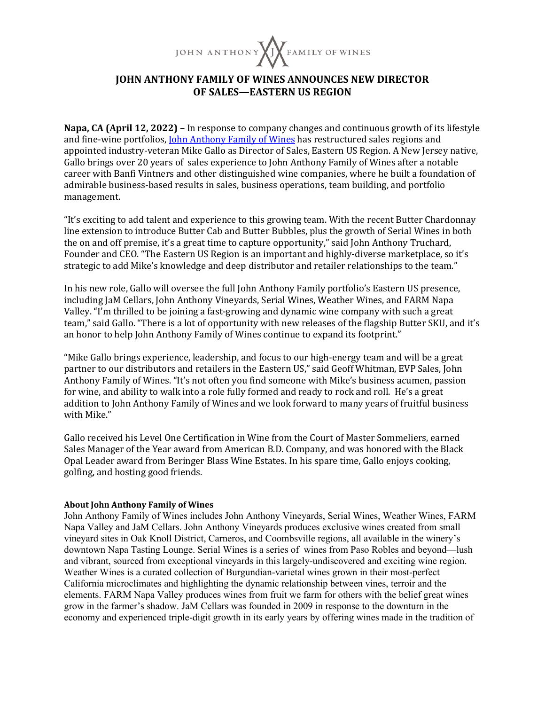

## **IOHN ANTHONY FAMILY OF WINES ANNOUNCES NEW DIRECTOR OF SALES—EASTERN US REGION**

**Napa, CA (April 12, 2022)** – In response to company changes and continuous growth of its lifestyle and fine-wine portfolios, *John Anthony Family of Wines has restructured sales regions and* appointed industry-veteran Mike Gallo as Director of Sales, Eastern US Region. A New Jersey native, Gallo brings over 20 years of sales experience to John Anthony Family of Wines after a notable career with Banfi Vintners and other distinguished wine companies, where he built a foundation of admirable business-based results in sales, business operations, team building, and portfolio management.

"It's exciting to add talent and experience to this growing team. With the recent Butter Chardonnay line extension to introduce Butter Cab and Butter Bubbles, plus the growth of Serial Wines in both the on and off premise, it's a great time to capture opportunity," said John Anthony Truchard, Founder and CEO. "The Eastern US Region is an important and highly-diverse marketplace, so it's strategic to add Mike's knowledge and deep distributor and retailer relationships to the team."

In his new role, Gallo will oversee the full John Anthony Family portfolio's Eastern US presence, including JaM Cellars, John Anthony Vineyards, Serial Wines, Weather Wines, and FARM Napa Valley. "I'm thrilled to be joining a fast-growing and dynamic wine company with such a great team," said Gallo. "There is a lot of opportunity with new releases of the flagship Butter SKU, and it's an honor to help John Anthony Family of Wines continue to expand its footprint."

"Mike Gallo brings experience, leadership, and focus to our high-energy team and will be a great partner to our distributors and retailers in the Eastern US," said Geoff Whitman, EVP Sales, John Anthony Family of Wines. "It's not often you find someone with Mike's business acumen, passion for wine, and ability to walk into a role fully formed and ready to rock and roll. He's a great addition to John Anthony Family of Wines and we look forward to many years of fruitful business with Mike."

Gallo received his Level One Certification in Wine from the Court of Master Sommeliers, earned Sales Manager of the Year award from American B.D. Company, and was honored with the Black Opal Leader award from Beringer Blass Wine Estates. In his spare time, Gallo enjoys cooking, golfing, and hosting good friends.

## **About John Anthony Family of Wines**

John Anthony Family of Wines includes John Anthony Vineyards, Serial Wines, Weather Wines, FARM Napa Valley and JaM Cellars. John Anthony Vineyards produces exclusive wines created from small vineyard sites in Oak Knoll District, Carneros, and Coombsville regions, all available in the winery's downtown Napa Tasting Lounge. Serial Wines is a series of wines from Paso Robles and beyond—lush and vibrant, sourced from exceptional vineyards in this largely-undiscovered and exciting wine region. Weather Wines is a curated collection of Burgundian-varietal wines grown in their most-perfect California microclimates and highlighting the dynamic relationship between vines, terroir and the elements. FARM Napa Valley produces wines from fruit we farm for others with the belief great wines grow in the farmer's shadow. JaM Cellars was founded in 2009 in response to the downturn in the economy and experienced triple-digit growth in its early years by offering wines made in the tradition of